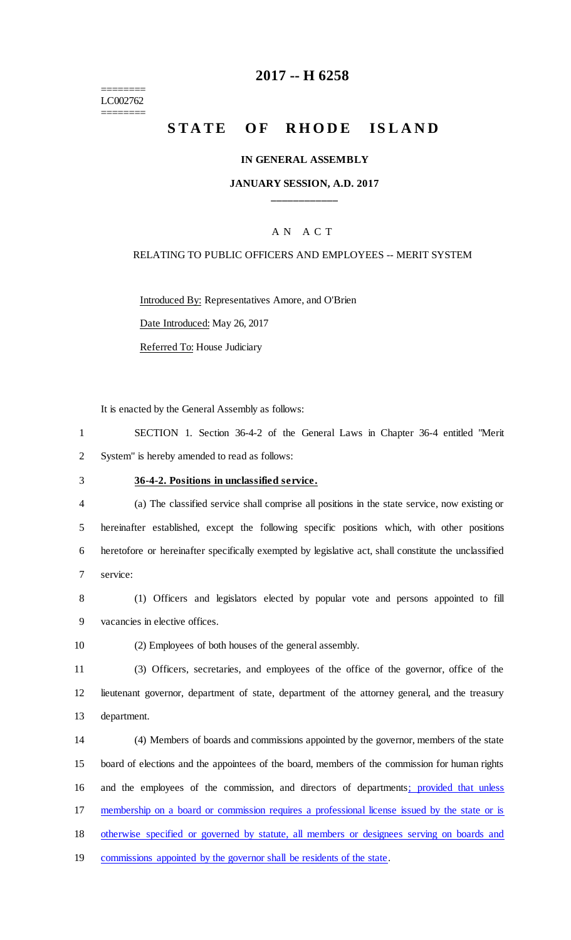======== LC002762 ========

## **-- H 6258**

# **STATE OF RHODE ISLAND**

#### **IN GENERAL ASSEMBLY**

#### **JANUARY SESSION, A.D. 2017 \_\_\_\_\_\_\_\_\_\_\_\_**

#### A N A C T

#### RELATING TO PUBLIC OFFICERS AND EMPLOYEES -- MERIT SYSTEM

Introduced By: Representatives Amore, and O'Brien

Date Introduced: May 26, 2017

Referred To: House Judiciary

It is enacted by the General Assembly as follows:

 SECTION 1. Section 36-4-2 of the General Laws in Chapter 36-4 entitled "Merit System" is hereby amended to read as follows:

#### **36-4-2. Positions in unclassified service.**

 (a) The classified service shall comprise all positions in the state service, now existing or hereinafter established, except the following specific positions which, with other positions heretofore or hereinafter specifically exempted by legislative act, shall constitute the unclassified service:

 (1) Officers and legislators elected by popular vote and persons appointed to fill vacancies in elective offices.

(2) Employees of both houses of the general assembly.

 (3) Officers, secretaries, and employees of the office of the governor, office of the lieutenant governor, department of state, department of the attorney general, and the treasury department.

 (4) Members of boards and commissions appointed by the governor, members of the state board of elections and the appointees of the board, members of the commission for human rights and the employees of the commission, and directors of departments; provided that unless membership on a board or commission requires a professional license issued by the state or is otherwise specified or governed by statute, all members or designees serving on boards and commissions appointed by the governor shall be residents of the state.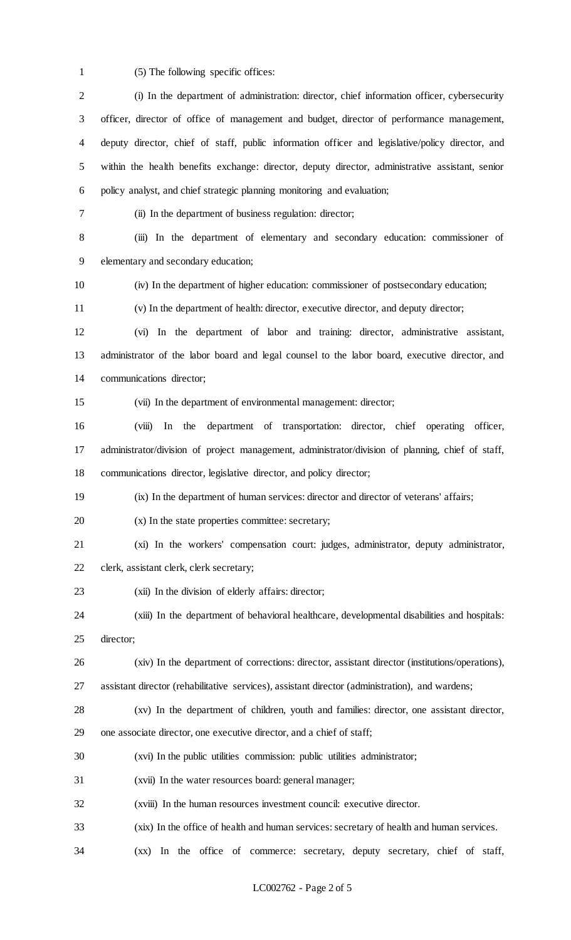(5) The following specific offices:

 (i) In the department of administration: director, chief information officer, cybersecurity officer, director of office of management and budget, director of performance management, deputy director, chief of staff, public information officer and legislative/policy director, and within the health benefits exchange: director, deputy director, administrative assistant, senior policy analyst, and chief strategic planning monitoring and evaluation; (ii) In the department of business regulation: director; (iii) In the department of elementary and secondary education: commissioner of elementary and secondary education; (iv) In the department of higher education: commissioner of postsecondary education; (v) In the department of health: director, executive director, and deputy director; (vi) In the department of labor and training: director, administrative assistant, administrator of the labor board and legal counsel to the labor board, executive director, and communications director; (vii) In the department of environmental management: director;

 (viii) In the department of transportation: director, chief operating officer, administrator/division of project management, administrator/division of planning, chief of staff, communications director, legislative director, and policy director;

(ix) In the department of human services: director and director of veterans' affairs;

- (x) In the state properties committee: secretary;
- (xi) In the workers' compensation court: judges, administrator, deputy administrator,

clerk, assistant clerk, clerk secretary;

(xii) In the division of elderly affairs: director;

 (xiii) In the department of behavioral healthcare, developmental disabilities and hospitals: director;

(xiv) In the department of corrections: director, assistant director (institutions/operations),

- assistant director (rehabilitative services), assistant director (administration), and wardens;
- (xv) In the department of children, youth and families: director, one assistant director, one associate director, one executive director, and a chief of staff;
- (xvi) In the public utilities commission: public utilities administrator;
- (xvii) In the water resources board: general manager;
- (xviii) In the human resources investment council: executive director.
- (xix) In the office of health and human services: secretary of health and human services.
- (xx) In the office of commerce: secretary, deputy secretary, chief of staff,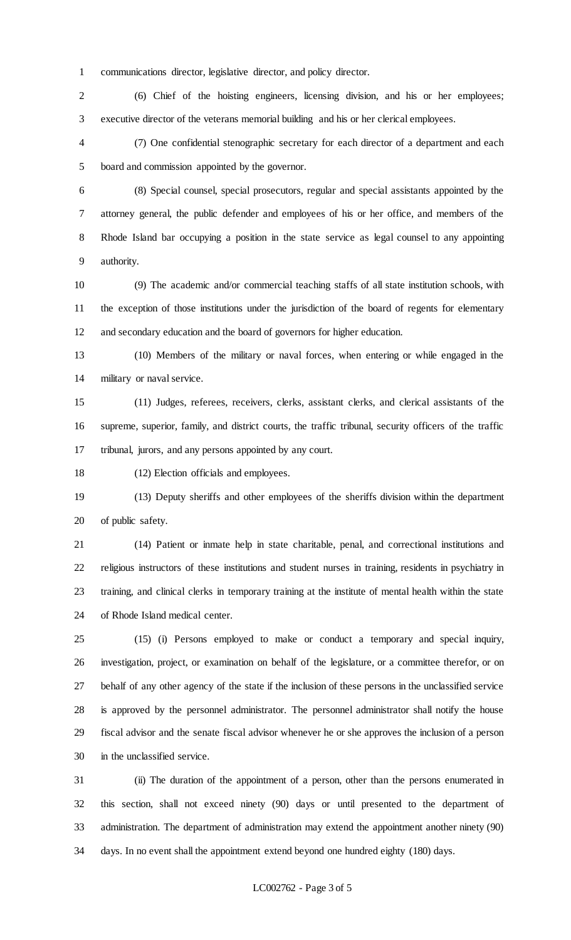communications director, legislative director, and policy director.

 (6) Chief of the hoisting engineers, licensing division, and his or her employees; executive director of the veterans memorial building and his or her clerical employees.

 (7) One confidential stenographic secretary for each director of a department and each board and commission appointed by the governor.

 (8) Special counsel, special prosecutors, regular and special assistants appointed by the attorney general, the public defender and employees of his or her office, and members of the Rhode Island bar occupying a position in the state service as legal counsel to any appointing authority.

 (9) The academic and/or commercial teaching staffs of all state institution schools, with the exception of those institutions under the jurisdiction of the board of regents for elementary and secondary education and the board of governors for higher education.

 (10) Members of the military or naval forces, when entering or while engaged in the military or naval service.

 (11) Judges, referees, receivers, clerks, assistant clerks, and clerical assistants of the supreme, superior, family, and district courts, the traffic tribunal, security officers of the traffic tribunal, jurors, and any persons appointed by any court.

(12) Election officials and employees.

 (13) Deputy sheriffs and other employees of the sheriffs division within the department of public safety.

 (14) Patient or inmate help in state charitable, penal, and correctional institutions and religious instructors of these institutions and student nurses in training, residents in psychiatry in training, and clinical clerks in temporary training at the institute of mental health within the state of Rhode Island medical center.

 (15) (i) Persons employed to make or conduct a temporary and special inquiry, investigation, project, or examination on behalf of the legislature, or a committee therefor, or on behalf of any other agency of the state if the inclusion of these persons in the unclassified service is approved by the personnel administrator. The personnel administrator shall notify the house fiscal advisor and the senate fiscal advisor whenever he or she approves the inclusion of a person in the unclassified service.

 (ii) The duration of the appointment of a person, other than the persons enumerated in this section, shall not exceed ninety (90) days or until presented to the department of administration. The department of administration may extend the appointment another ninety (90) days. In no event shall the appointment extend beyond one hundred eighty (180) days.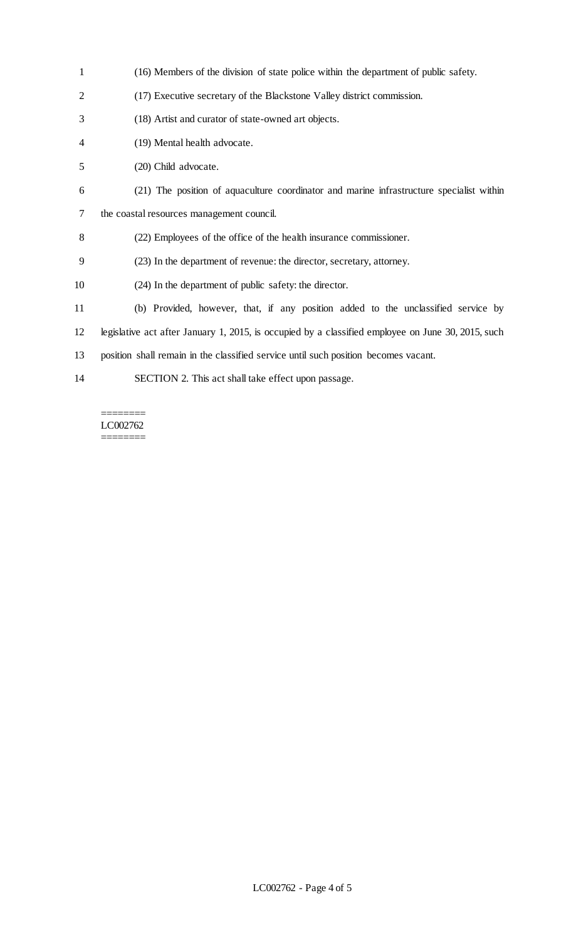| $\mathbf{1}$   | (16) Members of the division of state police within the department of public safety.               |
|----------------|----------------------------------------------------------------------------------------------------|
| $\overline{2}$ | (17) Executive secretary of the Blackstone Valley district commission.                             |
| 3              | (18) Artist and curator of state-owned art objects.                                                |
| 4              | (19) Mental health advocate.                                                                       |
| 5              | (20) Child advocate.                                                                               |
| 6              | (21) The position of aquaculture coordinator and marine infrastructure specialist within           |
| 7              | the coastal resources management council.                                                          |
| 8              | (22) Employees of the office of the health insurance commissioner.                                 |
| 9              | (23) In the department of revenue: the director, secretary, attorney.                              |
| 10             | (24) In the department of public safety: the director.                                             |
| 11             | (b) Provided, however, that, if any position added to the unclassified service by                  |
| 12             | legislative act after January 1, 2015, is occupied by a classified employee on June 30, 2015, such |
| 13             | position shall remain in the classified service until such position becomes vacant.                |
| 14             | SECTION 2. This act shall take effect upon passage.                                                |

#### ======== LC002762

========